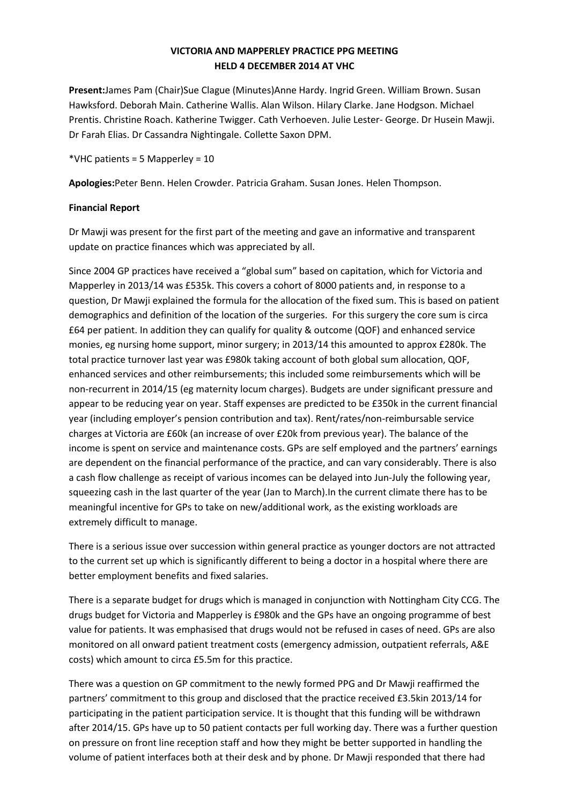## **VICTORIA AND MAPPERLEY PRACTICE PPG MEETING HELD 4 DECEMBER 2014 AT VHC**

**Present:**James Pam (Chair)Sue Clague (Minutes)Anne Hardy. Ingrid Green. William Brown. Susan Hawksford. Deborah Main. Catherine Wallis. Alan Wilson. Hilary Clarke. Jane Hodgson. Michael Prentis. Christine Roach. Katherine Twigger. Cath Verhoeven. Julie Lester- George. Dr Husein Mawji. Dr Farah Elias. Dr Cassandra Nightingale. Collette Saxon DPM.

\*VHC patients = 5 Mapperley = 10

**Apologies:**Peter Benn. Helen Crowder. Patricia Graham. Susan Jones. Helen Thompson.

#### **Financial Report**

Dr Mawji was present for the first part of the meeting and gave an informative and transparent update on practice finances which was appreciated by all.

Since 2004 GP practices have received a "global sum" based on capitation, which for Victoria and Mapperley in 2013/14 was £535k. This covers a cohort of 8000 patients and, in response to a question, Dr Mawji explained the formula for the allocation of the fixed sum. This is based on patient demographics and definition of the location of the surgeries. For this surgery the core sum is circa £64 per patient. In addition they can qualify for quality & outcome (QOF) and enhanced service monies, eg nursing home support, minor surgery; in 2013/14 this amounted to approx £280k. The total practice turnover last year was £980k taking account of both global sum allocation, QOF, enhanced services and other reimbursements; this included some reimbursements which will be non-recurrent in 2014/15 (eg maternity locum charges). Budgets are under significant pressure and appear to be reducing year on year. Staff expenses are predicted to be £350k in the current financial year (including employer's pension contribution and tax). Rent/rates/non-reimbursable service charges at Victoria are £60k (an increase of over £20k from previous year). The balance of the income is spent on service and maintenance costs. GPs are self employed and the partners' earnings are dependent on the financial performance of the practice, and can vary considerably. There is also a cash flow challenge as receipt of various incomes can be delayed into Jun-July the following year, squeezing cash in the last quarter of the year (Jan to March).In the current climate there has to be meaningful incentive for GPs to take on new/additional work, as the existing workloads are extremely difficult to manage.

There is a serious issue over succession within general practice as younger doctors are not attracted to the current set up which is significantly different to being a doctor in a hospital where there are better employment benefits and fixed salaries.

There is a separate budget for drugs which is managed in conjunction with Nottingham City CCG. The drugs budget for Victoria and Mapperley is £980k and the GPs have an ongoing programme of best value for patients. It was emphasised that drugs would not be refused in cases of need. GPs are also monitored on all onward patient treatment costs (emergency admission, outpatient referrals, A&E costs) which amount to circa £5.5m for this practice.

There was a question on GP commitment to the newly formed PPG and Dr Mawji reaffirmed the partners' commitment to this group and disclosed that the practice received £3.5kin 2013/14 for participating in the patient participation service. It is thought that this funding will be withdrawn after 2014/15. GPs have up to 50 patient contacts per full working day. There was a further question on pressure on front line reception staff and how they might be better supported in handling the volume of patient interfaces both at their desk and by phone. Dr Mawji responded that there had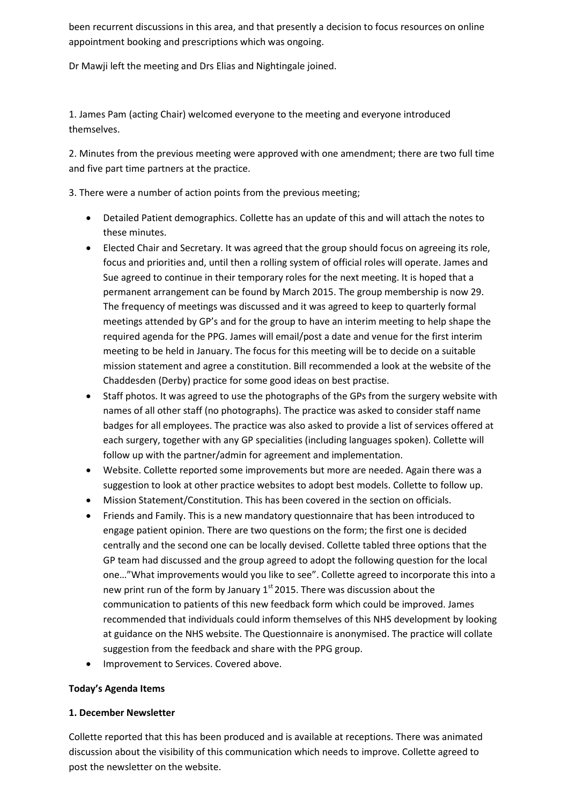been recurrent discussions in this area, and that presently a decision to focus resources on online appointment booking and prescriptions which was ongoing.

Dr Mawji left the meeting and Drs Elias and Nightingale joined.

1. James Pam (acting Chair) welcomed everyone to the meeting and everyone introduced themselves.

2. Minutes from the previous meeting were approved with one amendment; there are two full time and five part time partners at the practice.

3. There were a number of action points from the previous meeting;

- Detailed Patient demographics. Collette has an update of this and will attach the notes to these minutes.
- Elected Chair and Secretary. It was agreed that the group should focus on agreeing its role, focus and priorities and, until then a rolling system of official roles will operate. James and Sue agreed to continue in their temporary roles for the next meeting. It is hoped that a permanent arrangement can be found by March 2015. The group membership is now 29. The frequency of meetings was discussed and it was agreed to keep to quarterly formal meetings attended by GP's and for the group to have an interim meeting to help shape the required agenda for the PPG. James will email/post a date and venue for the first interim meeting to be held in January. The focus for this meeting will be to decide on a suitable mission statement and agree a constitution. Bill recommended a look at the website of the Chaddesden (Derby) practice for some good ideas on best practise.
- Staff photos. It was agreed to use the photographs of the GPs from the surgery website with names of all other staff (no photographs). The practice was asked to consider staff name badges for all employees. The practice was also asked to provide a list of services offered at each surgery, together with any GP specialities (including languages spoken). Collette will follow up with the partner/admin for agreement and implementation.
- Website. Collette reported some improvements but more are needed. Again there was a suggestion to look at other practice websites to adopt best models. Collette to follow up.
- Mission Statement/Constitution. This has been covered in the section on officials.
- Friends and Family. This is a new mandatory questionnaire that has been introduced to engage patient opinion. There are two questions on the form; the first one is decided centrally and the second one can be locally devised. Collette tabled three options that the GP team had discussed and the group agreed to adopt the following question for the local one…"What improvements would you like to see". Collette agreed to incorporate this into a new print run of the form by January  $1<sup>st</sup>$  2015. There was discussion about the communication to patients of this new feedback form which could be improved. James recommended that individuals could inform themselves of this NHS development by looking at guidance on the NHS website. The Questionnaire is anonymised. The practice will collate suggestion from the feedback and share with the PPG group.
- Improvement to Services. Covered above.

#### **Today's Agenda Items**

#### **1. December Newsletter**

Collette reported that this has been produced and is available at receptions. There was animated discussion about the visibility of this communication which needs to improve. Collette agreed to post the newsletter on the website.